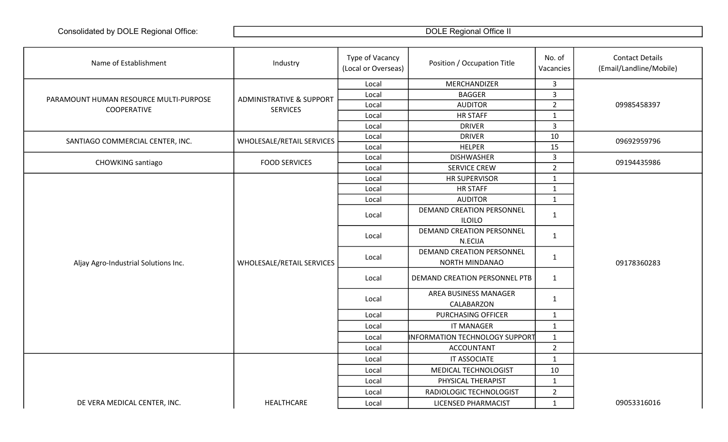| MERCHANDIZER<br>$\mathbf{3}$<br>Local<br>$\overline{3}$<br><b>BAGGER</b><br>Local<br><b>ADMINISTRATIVE &amp; SUPPORT</b><br>PARAMOUNT HUMAN RESOURCE MULTI-PURPOSE<br>$\overline{2}$<br>09985458397<br><b>AUDITOR</b><br>Local<br>COOPERATIVE<br><b>SERVICES</b><br><b>HR STAFF</b><br>$\mathbf{1}$<br>Local<br><b>DRIVER</b><br>3<br>Local<br>10<br><b>DRIVER</b><br>Local<br>WHOLESALE/RETAIL SERVICES<br>09692959796<br>SANTIAGO COMMERCIAL CENTER, INC.<br>15<br><b>HELPER</b><br>Local<br>3<br><b>DISHWASHER</b><br>Local<br><b>FOOD SERVICES</b><br><b>CHOWKING</b> santiago<br>09194435986<br>$2^{\circ}$<br><b>SERVICE CREW</b><br>Local<br><b>HR SUPERVISOR</b><br>$\mathbf{1}$<br>Local<br><b>HR STAFF</b><br>$\mathbf{1}$<br>Local<br><b>AUDITOR</b><br>$\mathbf{1}$<br>Local<br><b>DEMAND CREATION PERSONNEL</b><br>Local<br>$\mathbf{1}$<br><b>ILOILO</b><br><b>DEMAND CREATION PERSONNEL</b><br>$\mathbf{1}$<br>Local<br>N.ECIJA<br><b>DEMAND CREATION PERSONNEL</b><br>$\mathbf{1}$<br>Local<br>WHOLESALE/RETAIL SERVICES<br>NORTH MINDANAO<br>09178360283<br>Aljay Agro-Industrial Solutions Inc.<br>DEMAND CREATION PERSONNEL PTB<br>$\mathbf{1}$<br>Local<br>AREA BUSINESS MANAGER<br>$\mathbf{1}$<br>Local<br>CALABARZON<br>PURCHASING OFFICER<br>$\mathbf{1}$<br>Local<br><b>IT MANAGER</b><br>$\mathbf{1}$<br>Local<br>INFORMATION TECHNOLOGY SUPPORT<br>$\mathbf{1}$<br>Local<br>$2^{\circ}$<br><b>ACCOUNTANT</b><br>Local<br>IT ASSOCIATE<br>$\mathbf{1}$<br>Local<br>MEDICAL TECHNOLOGIST<br>10<br>Local<br>PHYSICAL THERAPIST<br>$\mathbf{1}$<br>Local | Name of Establishment | Industry | Type of Vacancy<br>(Local or Overseas) | Position / Occupation Title | No. of<br>Vacancies | <b>Contact Details</b><br>(Email/Landline/Mobile) |
|---------------------------------------------------------------------------------------------------------------------------------------------------------------------------------------------------------------------------------------------------------------------------------------------------------------------------------------------------------------------------------------------------------------------------------------------------------------------------------------------------------------------------------------------------------------------------------------------------------------------------------------------------------------------------------------------------------------------------------------------------------------------------------------------------------------------------------------------------------------------------------------------------------------------------------------------------------------------------------------------------------------------------------------------------------------------------------------------------------------------------------------------------------------------------------------------------------------------------------------------------------------------------------------------------------------------------------------------------------------------------------------------------------------------------------------------------------------------------------------------------------------------------------------------------------------------------------|-----------------------|----------|----------------------------------------|-----------------------------|---------------------|---------------------------------------------------|
|                                                                                                                                                                                                                                                                                                                                                                                                                                                                                                                                                                                                                                                                                                                                                                                                                                                                                                                                                                                                                                                                                                                                                                                                                                                                                                                                                                                                                                                                                                                                                                                 |                       |          |                                        |                             |                     |                                                   |
|                                                                                                                                                                                                                                                                                                                                                                                                                                                                                                                                                                                                                                                                                                                                                                                                                                                                                                                                                                                                                                                                                                                                                                                                                                                                                                                                                                                                                                                                                                                                                                                 |                       |          |                                        |                             |                     |                                                   |
|                                                                                                                                                                                                                                                                                                                                                                                                                                                                                                                                                                                                                                                                                                                                                                                                                                                                                                                                                                                                                                                                                                                                                                                                                                                                                                                                                                                                                                                                                                                                                                                 |                       |          |                                        |                             |                     |                                                   |
|                                                                                                                                                                                                                                                                                                                                                                                                                                                                                                                                                                                                                                                                                                                                                                                                                                                                                                                                                                                                                                                                                                                                                                                                                                                                                                                                                                                                                                                                                                                                                                                 |                       |          |                                        |                             |                     |                                                   |
|                                                                                                                                                                                                                                                                                                                                                                                                                                                                                                                                                                                                                                                                                                                                                                                                                                                                                                                                                                                                                                                                                                                                                                                                                                                                                                                                                                                                                                                                                                                                                                                 |                       |          |                                        |                             |                     |                                                   |
|                                                                                                                                                                                                                                                                                                                                                                                                                                                                                                                                                                                                                                                                                                                                                                                                                                                                                                                                                                                                                                                                                                                                                                                                                                                                                                                                                                                                                                                                                                                                                                                 |                       |          |                                        |                             |                     |                                                   |
|                                                                                                                                                                                                                                                                                                                                                                                                                                                                                                                                                                                                                                                                                                                                                                                                                                                                                                                                                                                                                                                                                                                                                                                                                                                                                                                                                                                                                                                                                                                                                                                 |                       |          |                                        |                             |                     |                                                   |
|                                                                                                                                                                                                                                                                                                                                                                                                                                                                                                                                                                                                                                                                                                                                                                                                                                                                                                                                                                                                                                                                                                                                                                                                                                                                                                                                                                                                                                                                                                                                                                                 |                       |          |                                        |                             |                     |                                                   |
|                                                                                                                                                                                                                                                                                                                                                                                                                                                                                                                                                                                                                                                                                                                                                                                                                                                                                                                                                                                                                                                                                                                                                                                                                                                                                                                                                                                                                                                                                                                                                                                 |                       |          |                                        |                             |                     |                                                   |
|                                                                                                                                                                                                                                                                                                                                                                                                                                                                                                                                                                                                                                                                                                                                                                                                                                                                                                                                                                                                                                                                                                                                                                                                                                                                                                                                                                                                                                                                                                                                                                                 |                       |          |                                        |                             |                     |                                                   |
|                                                                                                                                                                                                                                                                                                                                                                                                                                                                                                                                                                                                                                                                                                                                                                                                                                                                                                                                                                                                                                                                                                                                                                                                                                                                                                                                                                                                                                                                                                                                                                                 |                       |          |                                        |                             |                     |                                                   |
|                                                                                                                                                                                                                                                                                                                                                                                                                                                                                                                                                                                                                                                                                                                                                                                                                                                                                                                                                                                                                                                                                                                                                                                                                                                                                                                                                                                                                                                                                                                                                                                 |                       |          |                                        |                             |                     |                                                   |
|                                                                                                                                                                                                                                                                                                                                                                                                                                                                                                                                                                                                                                                                                                                                                                                                                                                                                                                                                                                                                                                                                                                                                                                                                                                                                                                                                                                                                                                                                                                                                                                 |                       |          |                                        |                             |                     |                                                   |
|                                                                                                                                                                                                                                                                                                                                                                                                                                                                                                                                                                                                                                                                                                                                                                                                                                                                                                                                                                                                                                                                                                                                                                                                                                                                                                                                                                                                                                                                                                                                                                                 |                       |          |                                        |                             |                     |                                                   |
|                                                                                                                                                                                                                                                                                                                                                                                                                                                                                                                                                                                                                                                                                                                                                                                                                                                                                                                                                                                                                                                                                                                                                                                                                                                                                                                                                                                                                                                                                                                                                                                 |                       |          |                                        |                             |                     |                                                   |
|                                                                                                                                                                                                                                                                                                                                                                                                                                                                                                                                                                                                                                                                                                                                                                                                                                                                                                                                                                                                                                                                                                                                                                                                                                                                                                                                                                                                                                                                                                                                                                                 |                       |          |                                        |                             |                     |                                                   |
|                                                                                                                                                                                                                                                                                                                                                                                                                                                                                                                                                                                                                                                                                                                                                                                                                                                                                                                                                                                                                                                                                                                                                                                                                                                                                                                                                                                                                                                                                                                                                                                 |                       |          |                                        |                             |                     |                                                   |
|                                                                                                                                                                                                                                                                                                                                                                                                                                                                                                                                                                                                                                                                                                                                                                                                                                                                                                                                                                                                                                                                                                                                                                                                                                                                                                                                                                                                                                                                                                                                                                                 |                       |          |                                        |                             |                     |                                                   |
|                                                                                                                                                                                                                                                                                                                                                                                                                                                                                                                                                                                                                                                                                                                                                                                                                                                                                                                                                                                                                                                                                                                                                                                                                                                                                                                                                                                                                                                                                                                                                                                 |                       |          |                                        |                             |                     |                                                   |
|                                                                                                                                                                                                                                                                                                                                                                                                                                                                                                                                                                                                                                                                                                                                                                                                                                                                                                                                                                                                                                                                                                                                                                                                                                                                                                                                                                                                                                                                                                                                                                                 |                       |          |                                        |                             |                     |                                                   |
|                                                                                                                                                                                                                                                                                                                                                                                                                                                                                                                                                                                                                                                                                                                                                                                                                                                                                                                                                                                                                                                                                                                                                                                                                                                                                                                                                                                                                                                                                                                                                                                 |                       |          |                                        |                             |                     |                                                   |
|                                                                                                                                                                                                                                                                                                                                                                                                                                                                                                                                                                                                                                                                                                                                                                                                                                                                                                                                                                                                                                                                                                                                                                                                                                                                                                                                                                                                                                                                                                                                                                                 |                       |          |                                        |                             |                     |                                                   |
|                                                                                                                                                                                                                                                                                                                                                                                                                                                                                                                                                                                                                                                                                                                                                                                                                                                                                                                                                                                                                                                                                                                                                                                                                                                                                                                                                                                                                                                                                                                                                                                 |                       |          |                                        |                             |                     |                                                   |
|                                                                                                                                                                                                                                                                                                                                                                                                                                                                                                                                                                                                                                                                                                                                                                                                                                                                                                                                                                                                                                                                                                                                                                                                                                                                                                                                                                                                                                                                                                                                                                                 |                       |          |                                        |                             |                     |                                                   |
|                                                                                                                                                                                                                                                                                                                                                                                                                                                                                                                                                                                                                                                                                                                                                                                                                                                                                                                                                                                                                                                                                                                                                                                                                                                                                                                                                                                                                                                                                                                                                                                 |                       |          |                                        |                             |                     |                                                   |
|                                                                                                                                                                                                                                                                                                                                                                                                                                                                                                                                                                                                                                                                                                                                                                                                                                                                                                                                                                                                                                                                                                                                                                                                                                                                                                                                                                                                                                                                                                                                                                                 |                       |          |                                        |                             |                     |                                                   |
|                                                                                                                                                                                                                                                                                                                                                                                                                                                                                                                                                                                                                                                                                                                                                                                                                                                                                                                                                                                                                                                                                                                                                                                                                                                                                                                                                                                                                                                                                                                                                                                 |                       |          |                                        |                             |                     |                                                   |
|                                                                                                                                                                                                                                                                                                                                                                                                                                                                                                                                                                                                                                                                                                                                                                                                                                                                                                                                                                                                                                                                                                                                                                                                                                                                                                                                                                                                                                                                                                                                                                                 |                       |          |                                        |                             |                     |                                                   |
|                                                                                                                                                                                                                                                                                                                                                                                                                                                                                                                                                                                                                                                                                                                                                                                                                                                                                                                                                                                                                                                                                                                                                                                                                                                                                                                                                                                                                                                                                                                                                                                 |                       |          | Local                                  | RADIOLOGIC TECHNOLOGIST     | $\overline{2}$      |                                                   |
| DE VERA MEDICAL CENTER, INC.<br>HEALTHCARE<br>LICENSED PHARMACIST<br>$\mathbf{1}$<br>09053316016<br>Local                                                                                                                                                                                                                                                                                                                                                                                                                                                                                                                                                                                                                                                                                                                                                                                                                                                                                                                                                                                                                                                                                                                                                                                                                                                                                                                                                                                                                                                                       |                       |          |                                        |                             |                     |                                                   |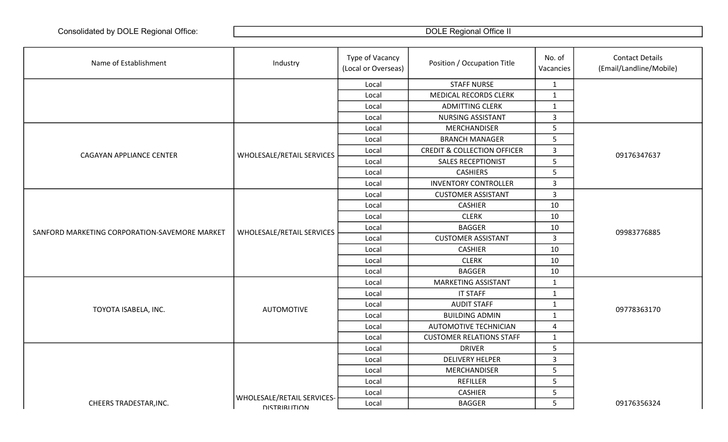| Name of Establishment                         | Industry                   | Type of Vacancy<br>(Local or Overseas) | Position / Occupation Title            | No. of<br>Vacancies | <b>Contact Details</b><br>(Email/Landline/Mobile) |
|-----------------------------------------------|----------------------------|----------------------------------------|----------------------------------------|---------------------|---------------------------------------------------|
|                                               |                            | Local                                  | <b>STAFF NURSE</b>                     | $\mathbf{1}$        |                                                   |
|                                               |                            | Local                                  | <b>MEDICAL RECORDS CLERK</b>           | $\mathbf{1}$        |                                                   |
|                                               |                            | Local                                  | <b>ADMITTING CLERK</b>                 | $\mathbf{1}$        |                                                   |
|                                               |                            | Local                                  | <b>NURSING ASSISTANT</b>               | $\mathbf{3}$        |                                                   |
|                                               |                            | Local                                  | MERCHANDISER                           | $5\phantom{.}$      |                                                   |
|                                               |                            | Local                                  | <b>BRANCH MANAGER</b>                  | $5\phantom{.}$      |                                                   |
| CAGAYAN APPLIANCE CENTER                      | WHOLESALE/RETAIL SERVICES  | Local                                  | <b>CREDIT &amp; COLLECTION OFFICER</b> | $\mathbf{3}$        | 09176347637                                       |
|                                               |                            | Local                                  | <b>SALES RECEPTIONIST</b>              | $5\phantom{.}$      |                                                   |
|                                               |                            | Local                                  | <b>CASHIERS</b>                        | 5                   |                                                   |
|                                               |                            | Local                                  | <b>INVENTORY CONTROLLER</b>            | $\mathbf{3}$        |                                                   |
|                                               |                            | Local                                  | <b>CUSTOMER ASSISTANT</b>              | $\mathbf{3}$        |                                                   |
|                                               |                            | Local                                  | <b>CASHIER</b>                         | 10                  |                                                   |
|                                               | WHOLESALE/RETAIL SERVICES  | Local                                  | <b>CLERK</b>                           | 10                  | 09983776885                                       |
| SANFORD MARKETING CORPORATION-SAVEMORE MARKET |                            | Local                                  | <b>BAGGER</b>                          | 10                  |                                                   |
|                                               |                            | Local                                  | <b>CUSTOMER ASSISTANT</b>              | $\overline{3}$      |                                                   |
|                                               |                            | Local                                  | <b>CASHIER</b>                         | 10                  |                                                   |
|                                               |                            | Local                                  | <b>CLERK</b>                           | 10                  |                                                   |
|                                               |                            | Local                                  | <b>BAGGER</b>                          | 10                  |                                                   |
|                                               |                            | Local                                  | MARKETING ASSISTANT                    | $\mathbf{1}$        |                                                   |
|                                               |                            | Local                                  | <b>IT STAFF</b>                        | $\mathbf{1}$        |                                                   |
| TOYOTA ISABELA, INC.                          | <b>AUTOMOTIVE</b>          | Local                                  | <b>AUDIT STAFF</b>                     | $\mathbf{1}$        | 09778363170                                       |
|                                               |                            | Local                                  | <b>BUILDING ADMIN</b>                  | $\mathbf{1}$        |                                                   |
|                                               |                            | Local                                  | <b>AUTOMOTIVE TECHNICIAN</b>           | 4                   |                                                   |
|                                               |                            | Local                                  | <b>CUSTOMER RELATIONS STAFF</b>        | $\mathbf{1}$        |                                                   |
|                                               |                            | Local                                  | <b>DRIVER</b>                          | 5                   |                                                   |
|                                               |                            | Local                                  | <b>DELIVERY HELPER</b>                 | $\mathbf{3}$        |                                                   |
|                                               |                            | Local                                  | MERCHANDISER                           | $\sqrt{5}$          |                                                   |
|                                               |                            | Local                                  | <b>REFILLER</b>                        | 5                   |                                                   |
|                                               | WHOLESALE/RETAIL SERVICES- | Local                                  | <b>CASHIER</b>                         | 5                   |                                                   |
| CHEERS TRADESTAR, INC.                        | <b>DISTRIBI ITION</b>      | Local                                  | <b>BAGGER</b>                          | 5                   | 09176356324                                       |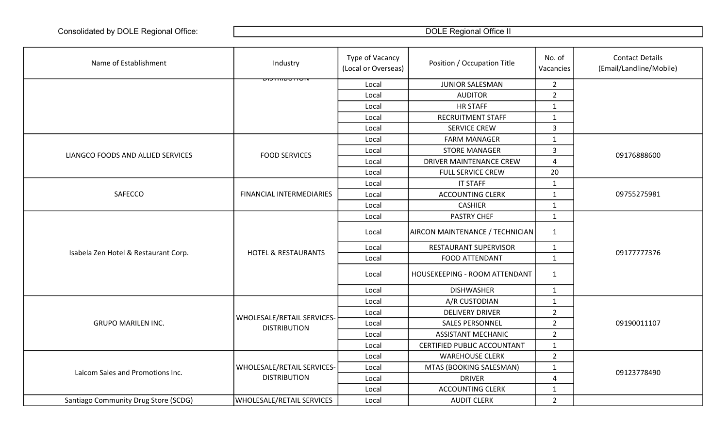| Name of Establishment                | Industry                         | Type of Vacancy<br>(Local or Overseas) | Position / Occupation Title     | No. of<br>Vacancies     | <b>Contact Details</b><br>(Email/Landline/Mobile) |
|--------------------------------------|----------------------------------|----------------------------------------|---------------------------------|-------------------------|---------------------------------------------------|
|                                      | <del>יוטו ו טשווודכוש</del>      | Local                                  | <b>JUNIOR SALESMAN</b>          | $\overline{2}$          |                                                   |
|                                      |                                  | Local                                  | <b>AUDITOR</b>                  | $\overline{2}$          |                                                   |
|                                      |                                  | Local                                  | <b>HR STAFF</b>                 | $\mathbf{1}$            |                                                   |
|                                      |                                  | Local                                  | <b>RECRUITMENT STAFF</b>        | $\mathbf{1}$            |                                                   |
|                                      |                                  | Local                                  | <b>SERVICE CREW</b>             | $\overline{3}$          |                                                   |
|                                      |                                  | Local                                  | <b>FARM MANAGER</b>             | $\mathbf{1}$            |                                                   |
| LIANGCO FOODS AND ALLIED SERVICES    | <b>FOOD SERVICES</b>             | Local                                  | <b>STORE MANAGER</b>            | 3                       | 09176888600                                       |
|                                      |                                  | Local                                  | DRIVER MAINTENANCE CREW         | $\overline{4}$          |                                                   |
|                                      |                                  | Local                                  | <b>FULL SERVICE CREW</b>        | 20                      |                                                   |
|                                      |                                  | Local                                  | <b>IT STAFF</b>                 | $\mathbf{1}$            |                                                   |
| SAFECCO                              | <b>FINANCIAL INTERMEDIARIES</b>  | Local                                  | <b>ACCOUNTING CLERK</b>         | $\mathbf{1}$            | 09755275981                                       |
|                                      |                                  | Local                                  | <b>CASHIER</b>                  | $\mathbf{1}$            |                                                   |
|                                      |                                  | Local                                  | PASTRY CHEF                     | $\mathbf{1}$            | 09177777376                                       |
|                                      |                                  | Local                                  | AIRCON MAINTENANCE / TECHNICIAN | $\mathbf{1}$            |                                                   |
|                                      |                                  | Local                                  | RESTAURANT SUPERVISOR           | $\mathbf{1}$            |                                                   |
| Isabela Zen Hotel & Restaurant Corp. | <b>HOTEL &amp; RESTAURANTS</b>   | Local                                  | FOOD ATTENDANT                  | $\mathbf{1}$            |                                                   |
|                                      |                                  | Local                                  | HOUSEKEEPING - ROOM ATTENDANT   | $\mathbf{1}$            |                                                   |
|                                      |                                  | Local                                  | <b>DISHWASHER</b>               | $\mathbf{1}$            |                                                   |
|                                      |                                  | Local                                  | A/R CUSTODIAN                   | $\mathbf{1}$            |                                                   |
|                                      | WHOLESALE/RETAIL SERVICES-       | Local                                  | <b>DELIVERY DRIVER</b>          | $\overline{2}$          |                                                   |
| <b>GRUPO MARILEN INC.</b>            | <b>DISTRIBUTION</b>              | Local                                  | <b>SALES PERSONNEL</b>          | $\overline{2}$          | 09190011107                                       |
|                                      |                                  | Local                                  | <b>ASSISTANT MECHANIC</b>       | $\overline{2}$          |                                                   |
|                                      |                                  | Local                                  | CERTIFIED PUBLIC ACCOUNTANT     | $\mathbf{1}$            |                                                   |
|                                      |                                  | Local                                  | <b>WAREHOUSE CLERK</b>          | $\overline{2}$          |                                                   |
| Laicom Sales and Promotions Inc.     | WHOLESALE/RETAIL SERVICES-       | Local                                  | MTAS (BOOKING SALESMAN)         | $\mathbf{1}$            | 09123778490                                       |
|                                      | <b>DISTRIBUTION</b>              | Local                                  | <b>DRIVER</b>                   | $\overline{\mathbf{4}}$ |                                                   |
|                                      |                                  | Local                                  | <b>ACCOUNTING CLERK</b>         | $\mathbf{1}$            |                                                   |
| Santiago Community Drug Store (SCDG) | <b>WHOLESALE/RETAIL SERVICES</b> | Local                                  | <b>AUDIT CLERK</b>              | $\overline{2}$          |                                                   |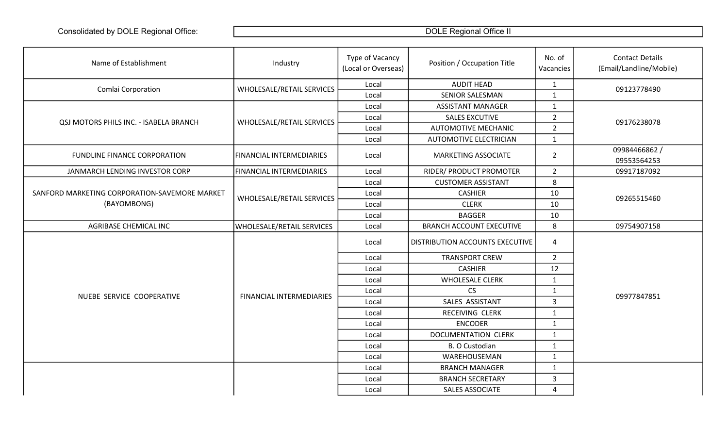| Name of Establishment                         | Industry                        | Type of Vacancy<br>(Local or Overseas) | Position / Occupation Title     | No. of<br>Vacancies | <b>Contact Details</b><br>(Email/Landline/Mobile) |
|-----------------------------------------------|---------------------------------|----------------------------------------|---------------------------------|---------------------|---------------------------------------------------|
| Comlai Corporation                            | WHOLESALE/RETAIL SERVICES       | Local                                  | <b>AUDIT HEAD</b>               | $\mathbf{1}$        | 09123778490                                       |
|                                               |                                 | Local                                  | <b>SENIOR SALESMAN</b>          | 1                   |                                                   |
|                                               |                                 | Local                                  | <b>ASSISTANT MANAGER</b>        | $\mathbf{1}$        |                                                   |
| QSJ MOTORS PHILS INC. - ISABELA BRANCH        | WHOLESALE/RETAIL SERVICES       | Local                                  | <b>SALES EXCUTIVE</b>           | $\overline{2}$      | 09176238078                                       |
|                                               |                                 | Local                                  | <b>AUTOMOTIVE MECHANIC</b>      | $2^{\circ}$         |                                                   |
|                                               |                                 | Local                                  | <b>AUTOMOTIVE ELECTRICIAN</b>   | $\mathbf{1}$        |                                                   |
| <b>FUNDLINE FINANCE CORPORATION</b>           | <b>FINANCIAL INTERMEDIARIES</b> | Local                                  | <b>MARKETING ASSOCIATE</b>      | $\overline{2}$      | 09984466862 /<br>09553564253                      |
| JANMARCH LENDING INVESTOR CORP                | <b>FINANCIAL INTERMEDIARIES</b> | Local                                  | RIDER/ PRODUCT PROMOTER         | $\overline{2}$      | 09917187092                                       |
|                                               |                                 | Local                                  | <b>CUSTOMER ASSISTANT</b>       | 8                   |                                                   |
| SANFORD MARKETING CORPORATION-SAVEMORE MARKET | WHOLESALE/RETAIL SERVICES       | Local                                  | <b>CASHIER</b>                  | 10                  | 09265515460                                       |
| (BAYOMBONG)                                   |                                 | Local                                  | <b>CLERK</b>                    | 10                  |                                                   |
|                                               |                                 | Local                                  | <b>BAGGER</b>                   | 10                  |                                                   |
| AGRIBASE CHEMICAL INC                         | WHOLESALE/RETAIL SERVICES       | Local                                  | <b>BRANCH ACCOUNT EXECUTIVE</b> | 8                   | 09754907158                                       |
|                                               |                                 | Local                                  | DISTRIBUTION ACCOUNTS EXECUTIVE | $\overline{4}$      |                                                   |
|                                               |                                 | Local                                  | <b>TRANSPORT CREW</b>           | $\overline{2}$      |                                                   |
|                                               |                                 | Local                                  | <b>CASHIER</b>                  | 12                  |                                                   |
|                                               |                                 | Local                                  | <b>WHOLESALE CLERK</b>          | $\mathbf{1}$        |                                                   |
|                                               |                                 | Local                                  | <b>CS</b>                       | $\mathbf 1$         | 09977847851                                       |
| NUEBE SERVICE COOPERATIVE                     | <b>FINANCIAL INTERMEDIARIES</b> | Local                                  | SALES ASSISTANT                 | $\overline{3}$      |                                                   |
|                                               |                                 | Local                                  | RECEIVING CLERK                 | $\mathbf{1}$        |                                                   |
|                                               |                                 | Local                                  | <b>ENCODER</b>                  | $\mathbf 1$         |                                                   |
|                                               |                                 | Local                                  | <b>DOCUMENTATION CLERK</b>      | $\mathbf{1}$        |                                                   |
|                                               |                                 | Local                                  | B. O Custodian                  | $\mathbf{1}$        |                                                   |
|                                               |                                 | Local                                  | WAREHOUSEMAN                    | $\mathbf{1}$        |                                                   |
|                                               |                                 | Local                                  | <b>BRANCH MANAGER</b>           | $\mathbf{1}$        |                                                   |
|                                               |                                 | Local                                  | <b>BRANCH SECRETARY</b>         | $\mathbf{3}$        |                                                   |
|                                               |                                 | Local                                  | SALES ASSOCIATE                 | 4                   |                                                   |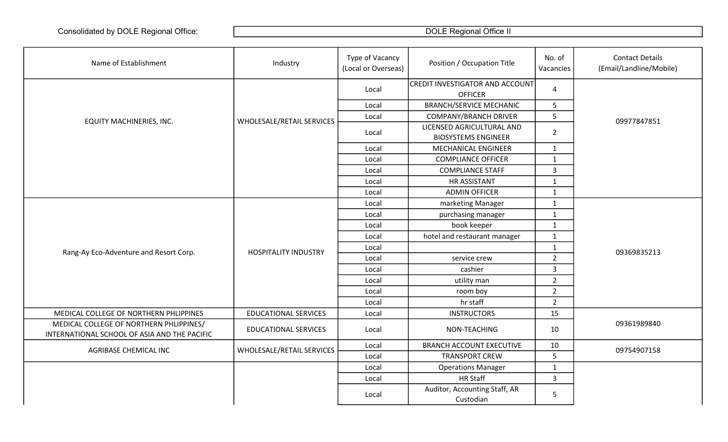| Name of Establishment                                                                   | Industry                    | Type of Vacancy<br>(Local or Overseas) | Position / Occupation Title                              | No. of<br>Vacancies | <b>Contact Details</b><br>(Email/Landline/Mobile) |
|-----------------------------------------------------------------------------------------|-----------------------------|----------------------------------------|----------------------------------------------------------|---------------------|---------------------------------------------------|
|                                                                                         |                             | Local                                  | <b>CREDIT INVESTIGATOR AND ACCOUNT</b><br><b>OFFICER</b> | $\overline{a}$      |                                                   |
|                                                                                         |                             | Local                                  | <b>BRANCH/SERVICE MECHANIC</b>                           | 5                   |                                                   |
| EQUITY MACHINERIES, INC.                                                                | WHOLESALE/RETAIL SERVICES   | Local                                  | <b>COMPANY/BRANCH DRIVER</b>                             | $5\phantom{.}$      | 09977847851                                       |
|                                                                                         |                             | Local                                  | LICENSED AGRICULTURAL AND<br><b>BIOSYSTEMS ENGINEER</b>  | $\overline{2}$      |                                                   |
|                                                                                         |                             | Local                                  | <b>MECHANICAL ENGINEER</b>                               | $\mathbf{1}$        |                                                   |
|                                                                                         |                             | Local                                  | <b>COMPLIANCE OFFICER</b>                                | $\mathbf{1}$        |                                                   |
|                                                                                         |                             | Local                                  | <b>COMPLIANCE STAFF</b>                                  | $\mathbf{3}$        |                                                   |
|                                                                                         |                             | Local                                  | HR ASSISTANT                                             | $\mathbf{1}$        |                                                   |
|                                                                                         |                             | Local                                  | <b>ADMIN OFFICER</b>                                     | $\mathbf{1}$        |                                                   |
|                                                                                         |                             | Local                                  | marketing Manager                                        | $\mathbf{1}$        |                                                   |
|                                                                                         |                             | Local                                  | purchasing manager                                       | $\mathbf{1}$        |                                                   |
|                                                                                         |                             | Local                                  | book keeper                                              | $\mathbf{1}$        |                                                   |
|                                                                                         |                             | Local                                  | hotel and restaurant manager                             | $\mathbf{1}$        |                                                   |
| Rang-Ay Eco-Adventure and Resort Corp.                                                  | <b>HOSPITALITY INDUSTRY</b> | Local                                  |                                                          | $\mathbf{1}$        | 09369835213                                       |
|                                                                                         |                             | Local                                  | service crew                                             | $\overline{2}$      |                                                   |
|                                                                                         |                             | Local                                  | cashier                                                  | $\mathbf{3}$        |                                                   |
|                                                                                         |                             | Local                                  | utility man                                              | $\overline{2}$      |                                                   |
|                                                                                         |                             | Local                                  | room boy                                                 | $\overline{2}$      |                                                   |
|                                                                                         |                             | Local                                  | hr staff                                                 | $\overline{2}$      |                                                   |
| MEDICAL COLLEGE OF NORTHERN PHLIPPINES                                                  | <b>EDUCATIONAL SERVICES</b> | Local                                  | <b>INSTRUCTORS</b>                                       | 15                  |                                                   |
| MEDICAL COLLEGE OF NORTHERN PHLIPPINES/<br>INTERNATIONAL SCHOOL OF ASIA AND THE PACIFIC | <b>EDUCATIONAL SERVICES</b> | Local                                  | NON-TEACHING                                             | 10                  | 09361989840                                       |
| AGRIBASE CHEMICAL INC                                                                   | WHOLESALE/RETAIL SERVICES   | Local                                  | <b>BRANCH ACCOUNT EXECUTIVE</b>                          | 10                  | 09754907158                                       |
|                                                                                         |                             | Local                                  | <b>TRANSPORT CREW</b>                                    | 5                   |                                                   |
|                                                                                         |                             | Local                                  | <b>Operations Manager</b>                                | $\mathbf{1}$        |                                                   |
|                                                                                         |                             | Local                                  | <b>HR Staff</b>                                          | $\overline{3}$      |                                                   |
|                                                                                         |                             | Local                                  | Auditor, Accounting Staff, AR<br>Custodian               | 5                   |                                                   |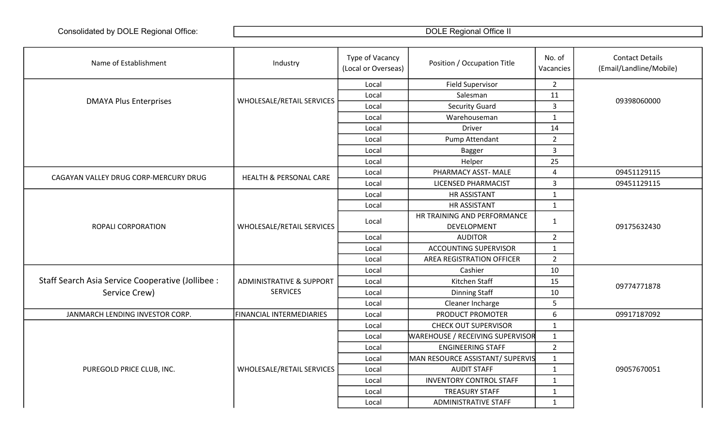| Name of Establishment                             | Industry                            | Type of Vacancy<br>(Local or Overseas) | Position / Occupation Title             | No. of<br>Vacancies | <b>Contact Details</b><br>(Email/Landline/Mobile) |
|---------------------------------------------------|-------------------------------------|----------------------------------------|-----------------------------------------|---------------------|---------------------------------------------------|
|                                                   |                                     | Local                                  | <b>Field Supervisor</b>                 | $2^{\circ}$         |                                                   |
|                                                   |                                     | Local                                  | Salesman                                | 11                  |                                                   |
| <b>DMAYA Plus Enterprises</b>                     | WHOLESALE/RETAIL SERVICES           | Local                                  | <b>Security Guard</b>                   | $\overline{3}$      | 09398060000                                       |
|                                                   |                                     | Local                                  | Warehouseman                            | $\mathbf{1}$        |                                                   |
|                                                   |                                     | Local                                  | Driver                                  | 14                  |                                                   |
|                                                   |                                     | Local                                  | Pump Attendant                          | $2^{\circ}$         |                                                   |
|                                                   |                                     | Local                                  | <b>Bagger</b>                           | 3                   |                                                   |
|                                                   |                                     | Local                                  | Helper                                  | 25                  |                                                   |
| CAGAYAN VALLEY DRUG CORP-MERCURY DRUG             | <b>HEALTH &amp; PERSONAL CARE</b>   | Local                                  | PHARMACY ASST- MALE                     | 4                   | 09451129115                                       |
|                                                   |                                     | Local                                  | LICENSED PHARMACIST                     | $\overline{3}$      | 09451129115                                       |
|                                                   |                                     | Local                                  | <b>HR ASSISTANT</b>                     | $\mathbf{1}$        |                                                   |
|                                                   |                                     | Local                                  | <b>HR ASSISTANT</b>                     | $\mathbf{1}$        |                                                   |
|                                                   |                                     | Local                                  | HR TRAINING AND PERFORMANCE             | $\mathbf{1}$        |                                                   |
| <b>ROPALI CORPORATION</b>                         | WHOLESALE/RETAIL SERVICES           |                                        | DEVELOPMENT                             |                     | 09175632430                                       |
|                                                   |                                     | Local                                  | <b>AUDITOR</b>                          | $\overline{2}$      |                                                   |
|                                                   |                                     | Local                                  | <b>ACCOUNTING SUPERVISOR</b>            | $\mathbf{1}$        |                                                   |
|                                                   |                                     | Local                                  | AREA REGISTRATION OFFICER               | $\overline{2}$      |                                                   |
|                                                   |                                     | Local                                  | Cashier                                 | 10                  |                                                   |
| Staff Search Asia Service Cooperative (Jollibee : | <b>ADMINISTRATIVE &amp; SUPPORT</b> | Local                                  | Kitchen Staff                           | 15                  | 09774771878                                       |
| Service Crew)                                     | <b>SERVICES</b>                     | Local                                  | <b>Dinning Staff</b>                    | 10                  |                                                   |
|                                                   |                                     | Local                                  | Cleaner Incharge                        | 5                   |                                                   |
| JANMARCH LENDING INVESTOR CORP.                   | <b>FINANCIAL INTERMEDIARIES</b>     | Local                                  | PRODUCT PROMOTER                        | 6                   | 09917187092                                       |
|                                                   |                                     | Local                                  | <b>CHECK OUT SUPERVISOR</b>             | $\mathbf{1}$        |                                                   |
|                                                   |                                     | Local                                  | <b>WAREHOUSE / RECEIVING SUPERVISOR</b> | $\mathbf{1}$        |                                                   |
|                                                   |                                     | Local                                  | <b>ENGINEERING STAFF</b>                | $\overline{2}$      |                                                   |
|                                                   |                                     | Local                                  | MAN RESOURCE ASSISTANT/ SUPERVIS        | $1\,$               |                                                   |
| PUREGOLD PRICE CLUB, INC.                         | WHOLESALE/RETAIL SERVICES           | Local                                  | <b>AUDIT STAFF</b>                      | $\mathbf{1}$        | 09057670051                                       |
|                                                   |                                     | Local                                  | <b>INVENTORY CONTROL STAFF</b>          | $\mathbf{1}$        |                                                   |
|                                                   |                                     | Local                                  | <b>TREASURY STAFF</b>                   | $\mathbf{1}$        |                                                   |
|                                                   |                                     | Local                                  | <b>ADMINISTRATIVE STAFF</b>             | $\mathbf{1}$        |                                                   |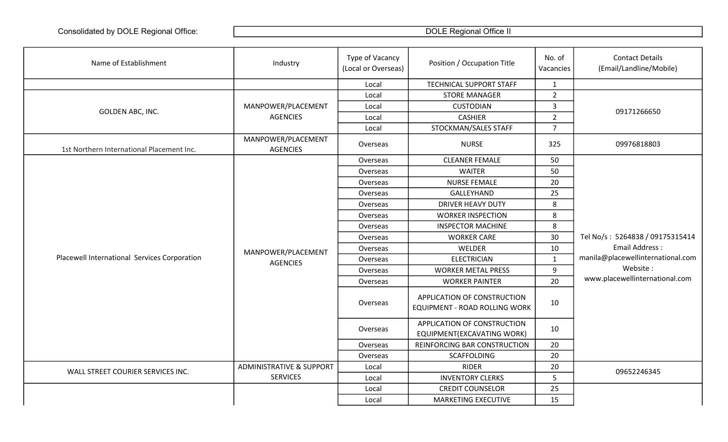| Name of Establishment                        | Industry                              | Type of Vacancy<br>(Local or Overseas) | Position / Occupation Title                                  | No. of<br>Vacancies | <b>Contact Details</b><br>(Email/Landline/Mobile) |
|----------------------------------------------|---------------------------------------|----------------------------------------|--------------------------------------------------------------|---------------------|---------------------------------------------------|
|                                              |                                       | Local                                  | TECHNICAL SUPPORT STAFF                                      | $\mathbf{1}$        |                                                   |
|                                              |                                       | Local                                  | <b>STORE MANAGER</b>                                         | $\overline{2}$      |                                                   |
| GOLDEN ABC, INC.                             | MANPOWER/PLACEMENT                    | Local                                  | <b>CUSTODIAN</b>                                             | $\mathsf{3}$        | 09171266650                                       |
|                                              | <b>AGENCIES</b>                       | Local                                  | <b>CASHIER</b>                                               | $\overline{2}$      |                                                   |
|                                              |                                       | Local                                  | STOCKMAN/SALES STAFF                                         | $\overline{7}$      |                                                   |
| 1st Northern International Placement Inc.    | MANPOWER/PLACEMENT<br><b>AGENCIES</b> | Overseas                               | <b>NURSE</b>                                                 | 325                 | 09976818803                                       |
|                                              |                                       | Overseas                               | <b>CLEANER FEMALE</b>                                        | 50                  |                                                   |
|                                              |                                       | Overseas                               | <b>WAITER</b>                                                | 50                  |                                                   |
|                                              |                                       | Overseas                               | <b>NURSE FEMALE</b>                                          | 20                  |                                                   |
|                                              |                                       | Overseas                               | GALLEYHAND                                                   | 25                  |                                                   |
|                                              |                                       | Overseas                               | <b>DRIVER HEAVY DUTY</b>                                     | 8                   |                                                   |
|                                              | MANPOWER/PLACEMENT                    | Overseas                               | <b>WORKER INSPECTION</b>                                     | 8                   | Tel No/s: 5264838 / 09175315414                   |
|                                              |                                       | Overseas                               | <b>INSPECTOR MACHINE</b>                                     | 8                   |                                                   |
|                                              |                                       | Overseas                               | <b>WORKER CARE</b>                                           | 30                  |                                                   |
|                                              |                                       | Overseas                               | WELDER                                                       | 10                  | <b>Email Address:</b>                             |
| Placewell International Services Corporation | <b>AGENCIES</b>                       | Overseas                               | <b>ELECTRICIAN</b>                                           | $\mathbf{1}$        | manila@placewellinternational.com                 |
|                                              |                                       | Overseas                               | <b>WORKER METAL PRESS</b>                                    | 9                   | Website:                                          |
|                                              |                                       | Overseas                               | <b>WORKER PAINTER</b>                                        | 20                  | www.placewellinternational.com                    |
|                                              |                                       | Overseas                               | APPLICATION OF CONSTRUCTION<br>EQUIPMENT - ROAD ROLLING WORK | 10                  |                                                   |
|                                              |                                       | Overseas                               | APPLICATION OF CONSTRUCTION<br>EQUIPMENT(EXCAVATING WORK)    | 10                  |                                                   |
|                                              |                                       | Overseas                               | REINFORCING BAR CONSTRUCTION                                 | 20                  |                                                   |
|                                              |                                       | Overseas                               | <b>SCAFFOLDING</b>                                           | 20                  |                                                   |
| WALL STREET COURIER SERVICES INC.            | <b>ADMINISTRATIVE &amp; SUPPORT</b>   | Local                                  | <b>RIDER</b>                                                 | 20                  | 09652246345                                       |
|                                              | <b>SERVICES</b>                       | Local                                  | <b>INVENTORY CLERKS</b>                                      | 5                   |                                                   |
|                                              |                                       | Local                                  | <b>CREDIT COUNSELOR</b>                                      | 25                  |                                                   |
|                                              |                                       | Local                                  | MARKETING EXECUTIVE                                          | 15                  |                                                   |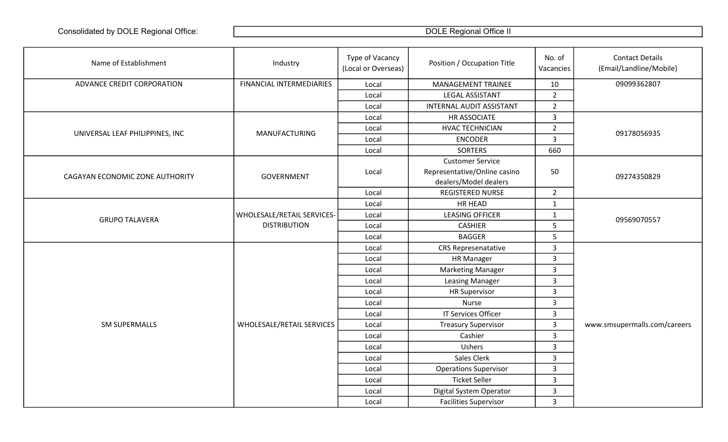| Name of Establishment           | Industry                   | Type of Vacancy<br>(Local or Overseas) | Position / Occupation Title                                                      | No. of<br>Vacancies | <b>Contact Details</b><br>(Email/Landline/Mobile) |
|---------------------------------|----------------------------|----------------------------------------|----------------------------------------------------------------------------------|---------------------|---------------------------------------------------|
| ADVANCE CREDIT CORPORATION      | FINANCIAL INTERMEDIARIES   | Local                                  | <b>MANAGEMENT TRAINEE</b>                                                        | 10                  | 09099362807                                       |
|                                 |                            | Local                                  | LEGAL ASSISTANT                                                                  | $\overline{2}$      |                                                   |
|                                 |                            | Local                                  | <b>INTERNAL AUDIT ASSISTANT</b>                                                  | $\overline{2}$      |                                                   |
|                                 |                            | Local                                  | HR ASSOCIATE                                                                     | $\mathbf{3}$        |                                                   |
| UNIVERSAL LEAF PHILIPPINES, INC | <b>MANUFACTURING</b>       | Local                                  | <b>HVAC TECHNICIAN</b>                                                           | $\overline{2}$      | 09178056935                                       |
|                                 |                            | Local                                  | <b>ENCODER</b>                                                                   | $\mathbf{3}$        |                                                   |
|                                 |                            | Local                                  | <b>SORTERS</b>                                                                   | 660                 |                                                   |
| CAGAYAN ECONOMIC ZONE AUTHORITY | GOVERNMENT                 | Local                                  | <b>Customer Service</b><br>Representative/Online casino<br>dealers/Model dealers | 50                  | 09274350829                                       |
|                                 |                            | Local                                  | <b>REGISTERED NURSE</b>                                                          | $\overline{2}$      |                                                   |
|                                 |                            | Local                                  | HR HEAD                                                                          | $\mathbf{1}$        |                                                   |
| <b>GRUPO TALAVERA</b>           | WHOLESALE/RETAIL SERVICES- | Local                                  | <b>LEASING OFFICER</b>                                                           | $\mathbf{1}$        | 09569070557                                       |
|                                 | <b>DISTRIBUTION</b>        | Local                                  | <b>CASHIER</b>                                                                   | 5                   |                                                   |
|                                 |                            | Local                                  | <b>BAGGER</b>                                                                    | $\overline{5}$      |                                                   |
|                                 |                            | Local                                  | <b>CRS Represenatative</b>                                                       | $\mathbf{3}$        |                                                   |
|                                 |                            | Local                                  | <b>HR Manager</b>                                                                | $\mathbf{3}$        |                                                   |
|                                 |                            | Local                                  | <b>Marketing Manager</b>                                                         | $\overline{3}$      |                                                   |
|                                 |                            | Local                                  | <b>Leasing Manager</b>                                                           | $\mathbf{3}$        |                                                   |
|                                 |                            | Local                                  | <b>HR Supervisor</b>                                                             | $\overline{3}$      |                                                   |
|                                 |                            | Local                                  | Nurse                                                                            | $\overline{3}$      |                                                   |
|                                 |                            | Local                                  | <b>IT Services Officer</b>                                                       | $\mathbf{3}$        |                                                   |
| <b>SM SUPERMALLS</b>            | WHOLESALE/RETAIL SERVICES  | Local                                  | <b>Treasury Supervisor</b>                                                       | $\overline{3}$      | www.smsupermalls.com/careers                      |
|                                 |                            | Local                                  | Cashier                                                                          | $\mathbf{3}$        |                                                   |
|                                 |                            | Local                                  | Ushers                                                                           | $\overline{3}$      |                                                   |
|                                 |                            | Local                                  | Sales Clerk                                                                      | $\overline{3}$      |                                                   |
|                                 |                            | Local                                  | <b>Operations Supervisor</b>                                                     | $\overline{3}$      |                                                   |
|                                 |                            | Local                                  | <b>Ticket Seller</b>                                                             | $\mathbf{3}$        |                                                   |
|                                 |                            | Local                                  | Digital System Operator                                                          | $\overline{3}$      |                                                   |
|                                 |                            | Local                                  | <b>Facilities Supervisor</b>                                                     | $\overline{3}$      |                                                   |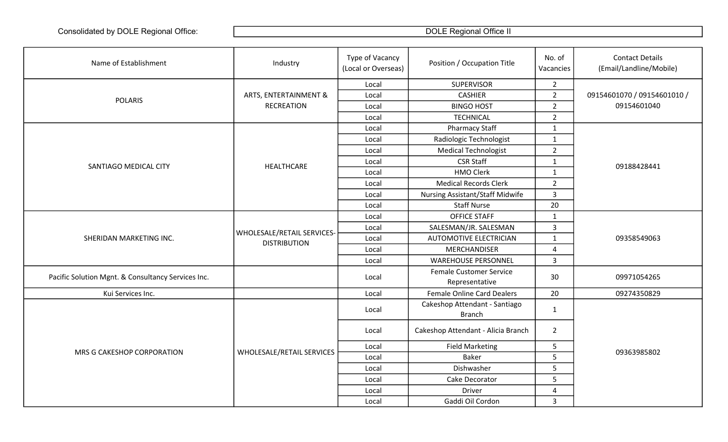| Name of Establishment                              | Industry                                          | Type of Vacancy<br>(Local or Overseas) | Position / Occupation Title                      | No. of<br>Vacancies | <b>Contact Details</b><br>(Email/Landline/Mobile) |
|----------------------------------------------------|---------------------------------------------------|----------------------------------------|--------------------------------------------------|---------------------|---------------------------------------------------|
|                                                    | ARTS, ENTERTAINMENT &                             | Local                                  | <b>SUPERVISOR</b>                                | $2^{\circ}$         |                                                   |
|                                                    |                                                   | Local                                  | <b>CASHIER</b>                                   | $\overline{2}$      | 09154601070 / 09154601010 /                       |
| <b>POLARIS</b>                                     | <b>RECREATION</b>                                 | Local                                  | <b>BINGO HOST</b>                                | $\overline{2}$      | 09154601040                                       |
|                                                    |                                                   | Local                                  | <b>TECHNICAL</b>                                 | $\overline{2}$      |                                                   |
|                                                    |                                                   | Local                                  | <b>Pharmacy Staff</b>                            | $\mathbf{1}$        |                                                   |
|                                                    |                                                   | Local                                  | Radiologic Technologist                          | $\mathbf 1$         |                                                   |
|                                                    |                                                   | Local                                  | <b>Medical Technologist</b>                      | $\overline{2}$      |                                                   |
| SANTIAGO MEDICAL CITY                              | HEALTHCARE                                        | Local                                  | <b>CSR Staff</b>                                 | $\mathbf{1}$        | 09188428441                                       |
|                                                    |                                                   | Local                                  | <b>HMO Clerk</b>                                 | $\mathbf{1}$        |                                                   |
|                                                    |                                                   | Local                                  | <b>Medical Records Clerk</b>                     | $\overline{2}$      |                                                   |
|                                                    |                                                   | Local                                  | <b>Nursing Assistant/Staff Midwife</b>           | $\mathbf{3}$        |                                                   |
|                                                    |                                                   | Local                                  | <b>Staff Nurse</b>                               | 20                  |                                                   |
|                                                    | WHOLESALE/RETAIL SERVICES-<br><b>DISTRIBUTION</b> | Local                                  | <b>OFFICE STAFF</b>                              | $\mathbf{1}$        |                                                   |
|                                                    |                                                   | Local                                  | SALESMAN/JR. SALESMAN                            | $\mathbf{3}$        |                                                   |
| SHERIDAN MARKETING INC.                            |                                                   | Local                                  | <b>AUTOMOTIVE ELECTRICIAN</b>                    | $\mathbf{1}$        | 09358549063                                       |
|                                                    |                                                   | Local                                  | MERCHANDISER                                     | 4                   |                                                   |
|                                                    |                                                   | Local                                  | <b>WAREHOUSE PERSONNEL</b>                       | $\overline{3}$      |                                                   |
| Pacific Solution Mgnt. & Consultancy Services Inc. |                                                   | Local                                  | <b>Female Customer Service</b><br>Representative | 30                  | 09971054265                                       |
| Kui Services Inc.                                  |                                                   | Local                                  | <b>Female Online Card Dealers</b>                | 20                  | 09274350829                                       |
|                                                    |                                                   | Local                                  | Cakeshop Attendant - Santiago<br><b>Branch</b>   | $\mathbf{1}$        |                                                   |
| MRS G CAKESHOP CORPORATION                         |                                                   | Local                                  | Cakeshop Attendant - Alicia Branch               | $\overline{2}$      |                                                   |
|                                                    |                                                   | Local                                  | <b>Field Marketing</b>                           | 5                   |                                                   |
|                                                    | WHOLESALE/RETAIL SERVICES                         | Local                                  | <b>Baker</b>                                     | 5                   | 09363985802                                       |
|                                                    |                                                   | Local                                  | Dishwasher                                       | 5                   |                                                   |
|                                                    |                                                   | Local                                  | Cake Decorator                                   | 5                   |                                                   |
|                                                    |                                                   | Local                                  | <b>Driver</b>                                    | $\overline{4}$      |                                                   |
|                                                    |                                                   | Local                                  | Gaddi Oil Cordon                                 | $\mathbf{3}$        |                                                   |